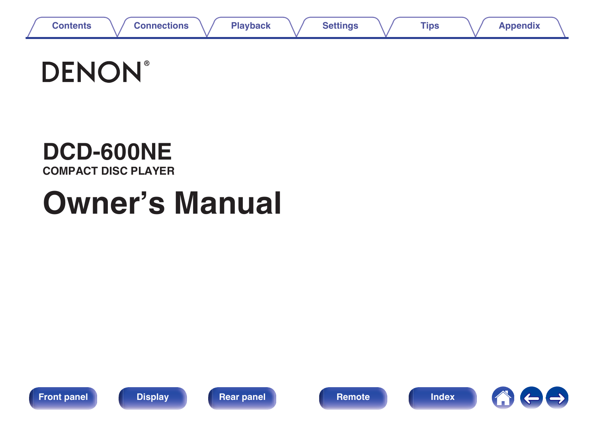

# **DENON®**

# **DCD-600NE**

**COMPACT DISC PLAYER**

# **Owner's Manual**









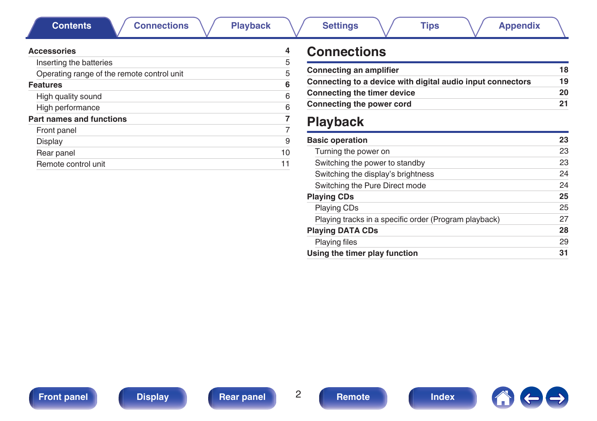<span id="page-1-0"></span>**Contents [Connections](#page-16-0)**  $\setminus$  **[Playback](#page-21-0)**  $\setminus$  **[Settings](#page-31-0)**  $\setminus$  **[Tips](#page-32-0)**  $\setminus$  **[Appendix](#page-39-0)** 

| <b>Accessories</b> |  |  |  |
|--------------------|--|--|--|
|                    |  |  |  |

| <b>Accessories</b>                         |    |
|--------------------------------------------|----|
| Inserting the batteries                    | 5  |
| Operating range of the remote control unit | 5  |
| <b>Features</b>                            | 6  |
| High quality sound                         | 6  |
| High performance                           | 6  |
| <b>Part names and functions</b>            | 7  |
| Front panel                                | 7  |
| Display                                    | 9  |
| Rear panel                                 | 10 |
| Remote control unit                        |    |

# **Connections**

| Connecting an amplifier                                    | 18 |
|------------------------------------------------------------|----|
| Connecting to a device with digital audio input connectors | 19 |
| <b>Connecting the timer device</b>                         | 20 |
| Connecting the power cord                                  | 21 |

# **Playback**

| <b>Basic operation</b>                                | 23 |
|-------------------------------------------------------|----|
| Turning the power on                                  | 23 |
| Switching the power to standby                        | 23 |
| Switching the display's brightness                    | 24 |
| Switching the Pure Direct mode                        | 24 |
| <b>Playing CDs</b>                                    | 25 |
| <b>Playing CDs</b>                                    | 25 |
| Playing tracks in a specific order (Program playback) | 27 |
| <b>Playing DATA CDs</b>                               | 28 |
| <b>Playing files</b>                                  | 29 |
| Using the timer play function                         | 31 |

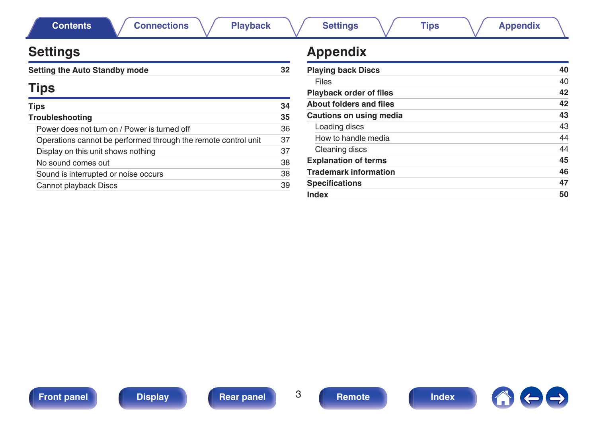| <b>Settings</b>                                                |    | <b>Appendix</b>                |    |
|----------------------------------------------------------------|----|--------------------------------|----|
| <b>Setting the Auto Standby mode</b>                           | 32 | <b>Playing back Discs</b>      | 40 |
|                                                                |    | Files                          | 40 |
| <b>Tips</b>                                                    |    | Playback order of files        | 42 |
| Tips                                                           | 34 | <b>About folders and files</b> | 42 |
| Troubleshooting                                                | 35 | Cautions on using media        | 43 |
| Power does not turn on / Power is turned off                   | 36 | Loading discs                  | 43 |
| Operations cannot be performed through the remote control unit | 37 | How to handle media            | 44 |
| Display on this unit shows nothing                             | 37 | Cleaning discs                 | 44 |
| No sound comes out                                             | 38 | <b>Explanation of terms</b>    | 45 |
| Sound is interrupted or noise occurs                           | 38 | <b>Trademark information</b>   | 46 |
| Cannot playback Discs                                          | 39 | <b>Specifications</b>          | 47 |
|                                                                |    | Index                          | 50 |



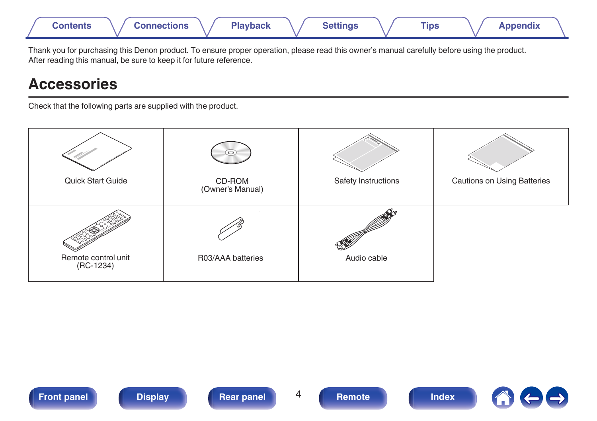<span id="page-3-0"></span>

Thank you for purchasing this Denon product. To ensure proper operation, please read this owner's manual carefully before using the product. After reading this manual, be sure to keep it for future reference.

# **Accessories**

Check that the following parts are supplied with the product.

| Quick Start Guide                  | $\circ$<br>CD-ROM<br>(Owner's Manual) | Safety Instructions | <b>Cautions on Using Batteries</b> |
|------------------------------------|---------------------------------------|---------------------|------------------------------------|
| Remote control unit<br>$(RC-1234)$ | R03/AAA batteries                     | Audio cable         |                                    |

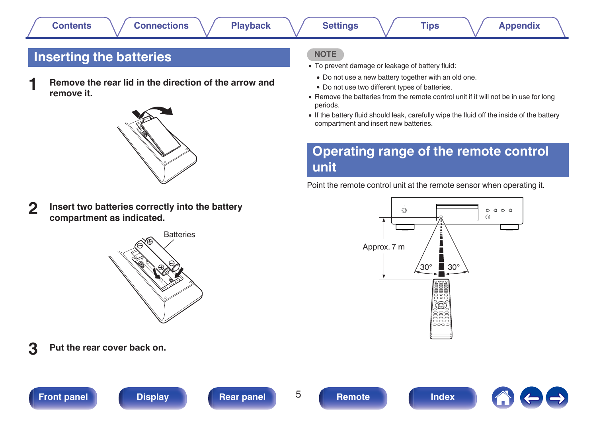# <span id="page-4-0"></span>**Inserting the batteries**

**1 Remove the rear lid in the direction of the arrow and remove it.**



**2 Insert two batteries correctly into the battery compartment as indicated.**



### **3 Put the rear cover back on.**





#### **NOTE**

- To prevent damage or leakage of battery fluid:
	- Do not use a new battery together with an old one.
	- Do not use two different types of batteries.
- Remove the batteries from the remote control unit if it will not be in use for long periods.
- 0 If the battery fluid should leak, carefully wipe the fluid off the inside of the battery compartment and insert new batteries.

# **Operating range of the remote control unit**

Point the remote control unit at the remote sensor when operating it.

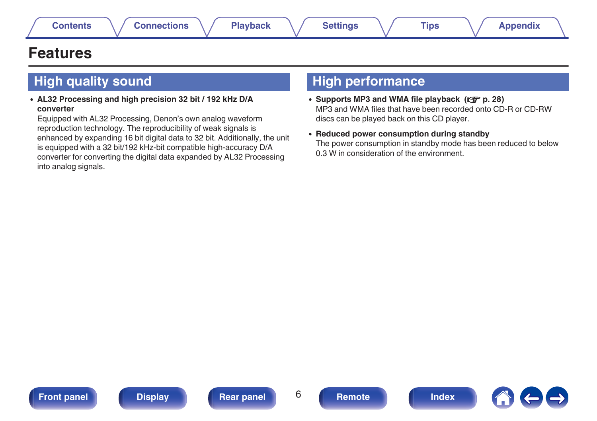# <span id="page-5-0"></span>**Features**

# **High quality sound**

0 **AL32 Processing and high precision 32 bit / 192 kHz D/A converter**

Equipped with AL32 Processing, Denon's own analog waveform reproduction technology. The reproducibility of weak signals is enhanced by expanding 16 bit digital data to 32 bit. Additionally, the unit is equipped with a 32 bit/192 kHz-bit compatible high-accuracy D/A converter for converting the digital data expanded by AL32 Processing into analog signals.

# **High performance**

- Supports MP3 and WMA file playback ( $\sqrt{p}$  [p. 28\)](#page-27-0) MP3 and WMA files that have been recorded onto CD-R or CD-RW discs can be played back on this CD player.
- 0 **Reduced power consumption during standby** The power consumption in standby mode has been reduced to below 0.3 W in consideration of the environment.

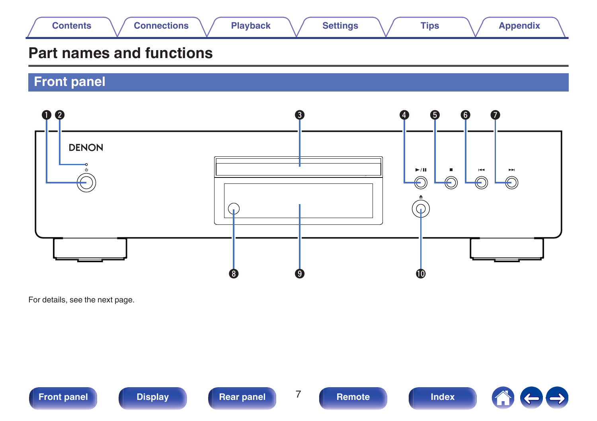<span id="page-6-0"></span>

# **Part names and functions**

**Front panel**



For details, see the next page.



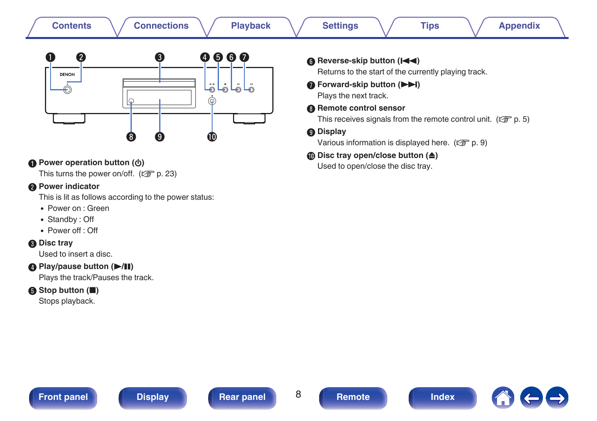| <b>Connections</b>                                                                                                                            | <b>Settings</b>                                                                                                                                                                                                                                                                                                                                                          |
|-----------------------------------------------------------------------------------------------------------------------------------------------|--------------------------------------------------------------------------------------------------------------------------------------------------------------------------------------------------------------------------------------------------------------------------------------------------------------------------------------------------------------------------|
| <b>Playback</b>                                                                                                                               | <b>Tips</b>                                                                                                                                                                                                                                                                                                                                                              |
| <b>Contents</b>                                                                                                                               | <b>Appendix</b>                                                                                                                                                                                                                                                                                                                                                          |
| ❸<br>$\bullet$ $\bullet$<br>2<br>$\bullet$<br><b>DENON</b><br>$\ddot{\bullet}$<br>لهلهان<br>⊚<br>$\bf{G}$<br>9<br>10                          | <b>6</b> Reverse-skip button (I<br>Returns to the start of the currently playing track.<br><b>O</b> Forward-skip button (<br>Plays the next track.<br><b>B</b> Remote control sensor<br>This receives signals from the remote control unit. ( $\mathbb{Q}^n$ p. 5)<br><b>O</b> Display<br>Various information is displayed here. $(\sqrt{\epsilon} \cdot \vec{r})$ p. 9) |
| Power operation button ( $\phi$ )                                                                                                             | <b><i></i> Disc tray open/close button (≜)</b>                                                                                                                                                                                                                                                                                                                           |
| This turns the power on/off. $(\sqrt{2\pi} p. 23)$                                                                                            | Used to open/close the disc tray.                                                                                                                                                                                                                                                                                                                                        |
| <b>2</b> Power indicator<br>This is lit as follows according to the power status:<br>• Power on : Green<br>• Standby: Off<br>• Power off: Off |                                                                                                                                                                                                                                                                                                                                                                          |

#### **Disc tray**

Used to insert a disc.

#### D **Play/pause button (**1**/**3**)**

Plays the track/Pauses the track.

### E **Stop button (**2**)**

Stops playback.



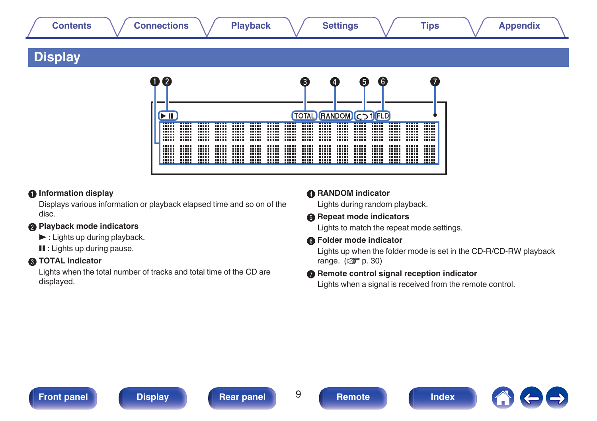# <span id="page-8-0"></span>**[Contents](#page-1-0) [Connections](#page-16-0) [Playback](#page-21-0) [Settings](#page-31-0) [Tips](#page-32-0) [Appendix](#page-39-0)**

# **Display**



#### A **Information display**

Displays various information or playback elapsed time and so on of the disc.

#### **Playback mode indicators**

- $\blacktriangleright$  : Lights up during playback.
- **II** : Lights up during pause.

#### **TOTAL indicator**

Lights when the total number of tracks and total time of the CD are displayed.

#### **D** RANDOM indicator

Lights during random playback.

#### **Repeat mode indicators**

Lights to match the repeat mode settings.

#### **Ref** Folder mode indicator

Lights up when the folder mode is set in the CD-R/CD-RW playback range.  $(\sqrt{p} \cdot 30)$ 

#### **Remote control signal reception indicator**

Lights when a signal is received from the remote control.

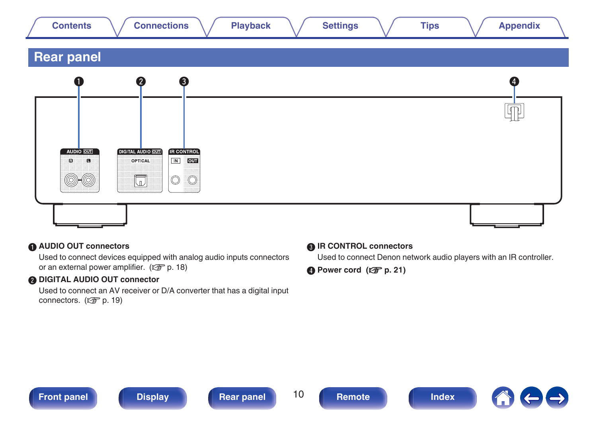<span id="page-9-0"></span>

|  |  | :ontents |  | Playback | التقطيب<br>ettings | Tips | -----<br><b>Appendix</b> |  |
|--|--|----------|--|----------|--------------------|------|--------------------------|--|
|--|--|----------|--|----------|--------------------|------|--------------------------|--|

# **Rear panel**



#### **AUDIO OUT connectors**

Used to connect devices equipped with analog audio inputs connectors or an external power amplifier.  $(\sqrt{p} R)$  [p. 18\)](#page-17-0)

#### **B DIGITAL AUDIO OUT connector**

Used to connect an AV receiver or D/A converter that has a digital input connectors.  $(\mathbb{Z} \widehat{F})$  [p. 19\)](#page-18-0)

#### **R** IR CONTROL connectors

Used to connect Denon network audio players with an IR controller.

**O** Power cord ( $\sqrt{p}$  [p. 21\)](#page-20-0)



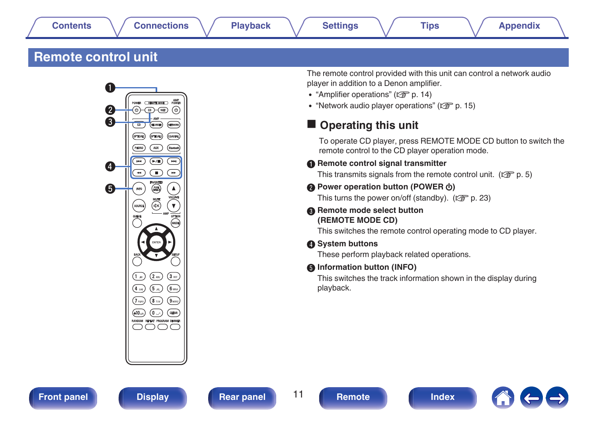# <span id="page-10-0"></span>**Remote control unit**



The remote control provided with this unit can control a network audio player in addition to a Denon amplifier.

- ["Amplifier operations" \(](#page-13-0) $\mathbb{Q}$  p. 14)
- ["Network audio player operations" \(](#page-14-0) $\mathbb{Q}_F$  p. 15)

# **Operating this unit**

To operate CD player, press REMOTE MODE CD button to switch the remote control to the CD player operation mode.

#### **Remote control signal transmitter**

This transmits signals from the remote control unit. ( $\mathbb{C}$  [p. 5\)](#page-4-0)

#### **D** Power operation button (POWER (b)

This turns the power on/off (standby).  $(\sqrt{p})$  [p. 23\)](#page-22-0)

#### **Remote mode select button (REMOTE MODE CD)**

This switches the remote control operating mode to CD player.

#### **O** System buttons

These perform playback related operations.

#### E **Information button (INFO)**

This switches the track information shown in the display during playback.



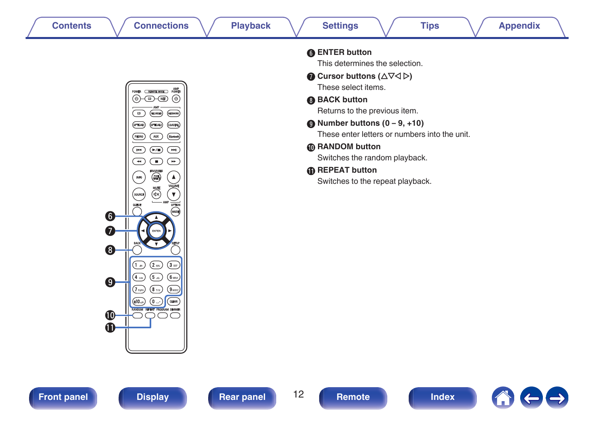

|                  | <b>AMP</b><br>POWER<br>Remote Mode<br>(ဖ<br>(b<br>NET<br>œ<br><b>AMP</b><br>CD<br>ECORDER)<br>(NETWOR<br><b>OPTICALS</b><br>(OPTICAL2)<br>COAXIAL<br>PHONO<br><b>AUX</b><br>.<br>Blu<br>(<br>(⊫/∎<br>Иđ<br>ы<br>ø<br><b>FAVORITES</b><br><b>PURE</b><br><b>INFO</b><br><b>VOLUME</b><br><b>MUTE</b> |
|------------------|-----------------------------------------------------------------------------------------------------------------------------------------------------------------------------------------------------------------------------------------------------------------------------------------------------|
| $\left[6\right]$ | <b>SOURCE</b><br>ďх<br><b>AMP</b><br>OPTION<br>QUEUE<br>(MODE)<br>Δ                                                                                                                                                                                                                                 |
| 7<br>8           | ENTER<br><b>BACK</b><br>SETUP                                                                                                                                                                                                                                                                       |
|                  | Î<br>3 <sub>0</sub><br>$2$ ABC<br>$\ddot{a}$<br>4 GH<br>5 .m<br><b>6</b> MNO                                                                                                                                                                                                                        |
| 9                | $(\mathbf{s}$ tuv<br>7 <sub>ness</sub><br>$9$ vora<br><b>CLEAR</b><br>6)<br>(+10…<br><b>RANDOM</b><br><b>REPEAT</b><br><b>PROGRAM DIMMER</b>                                                                                                                                                        |
|                  |                                                                                                                                                                                                                                                                                                     |

| <b>6</b> ENTER button                                                    |
|--------------------------------------------------------------------------|
| This determines the selection.                                           |
| <b>O</b> Cursor buttons ( $\Delta \nabla \triangleleft \triangleright$ ) |
| These select items.                                                      |
| <b>B</b> BACK button                                                     |
| Returns to the previous item.                                            |
| $\bullet$ Number buttons (0 – 9, +10)                                    |
| These enter letters or numbers into the unit.                            |
| <b><i>I</i></b> RANDOM button                                            |
| Switches the random playback.                                            |
| <b><i>A</i></b> REPEAT button                                            |
| Switches to the repeat playback.                                         |
|                                                                          |



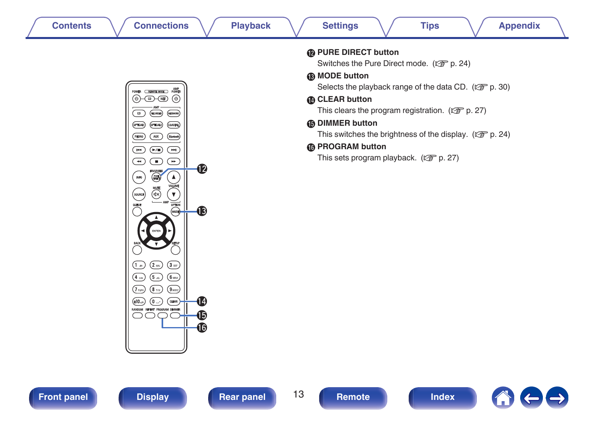| <b>Contents</b>                                                                                                                                                                                                                                                                                                                                                                                                                                                                                                                                                                                                                                                                                                                                                                                                                                                                                                                                                                                          | <b>Settings</b>                                                                                                                                                                                                                                                                                                                                                                                                     |
|----------------------------------------------------------------------------------------------------------------------------------------------------------------------------------------------------------------------------------------------------------------------------------------------------------------------------------------------------------------------------------------------------------------------------------------------------------------------------------------------------------------------------------------------------------------------------------------------------------------------------------------------------------------------------------------------------------------------------------------------------------------------------------------------------------------------------------------------------------------------------------------------------------------------------------------------------------------------------------------------------------|---------------------------------------------------------------------------------------------------------------------------------------------------------------------------------------------------------------------------------------------------------------------------------------------------------------------------------------------------------------------------------------------------------------------|
| <b>Connections</b>                                                                                                                                                                                                                                                                                                                                                                                                                                                                                                                                                                                                                                                                                                                                                                                                                                                                                                                                                                                       | <b>Appendix</b>                                                                                                                                                                                                                                                                                                                                                                                                     |
| <b>Playback</b>                                                                                                                                                                                                                                                                                                                                                                                                                                                                                                                                                                                                                                                                                                                                                                                                                                                                                                                                                                                          | <b>Tips</b>                                                                                                                                                                                                                                                                                                                                                                                                         |
| AMP<br>POWER REMOTE MODE POWER<br>$\circledcirc$<br>$\textcircled{a}-\textcircled{e}$<br>(NETWORK)<br>(RECORDER)<br>$\widehat{\phantom{a}}$<br>(OPTICAL2) (COAXIAL)<br>(OPTICALI)<br>$\overline{\mathbf{w}}$<br>(PHONO)<br>(Blustooth)<br>$(\blacktriangleright\!/\!\!\!\!\triangleq)$<br>$(\textcolor{blue}{\bullet\bullet})$<br>$\left( \blacksquare \right)$<br>$\bigoplus$<br>$\bigcirc$<br>$\left( \begin{matrix} \textcolor{red}{\bullet} \end{matrix} \right)$<br>◐<br><b>FAVORITES</b><br><b>PUBE</b><br>$\ensuremath{\mathsf{INFO}}$<br>$\blacktriangle$<br><b>VOLUME</b><br>$\overline{\text{exp}}$<br>Îγ.<br>(sourice)<br>OPTION<br>QUEUE<br>$\circledast$<br>®<br>$\left(2\right)$ ABC<br>$\overline{3}$ def $\overline{)}$<br>(1.0)<br>$\left(5\right)$ $\left(6\right)$ $\left(6\right)$<br>$(4)$ GHz<br>$\odot$<br>$\left( 8 \frac{1}{100} \right)$<br>$(7)$ <sub>rons</sub> )<br>(CLEAR)<br>$(+10)$<br>$(0 \cdot)$<br>14<br>RANDOM REPEAT PROGRAM DIMIMER<br>⊕<br>$^{\circ}$<br><b>6</b> | <b>@ PURE DIRECT button</b><br>Switches the Pure Direct mode. (@F p. 24)<br><b>B</b> MODE button<br>Selects the playback range of the data CD. (CF p. 30)<br><b>CLEAR button</b><br>This clears the program registration. ( $\sqrt{2}$ p. 27)<br><b>6</b> DIMMER button<br>This switches the brightness of the display. ( $\mathbb{CP}$ p. 24)<br><b>6</b> PROGRAM button<br>This sets program playback. (CF p. 27) |



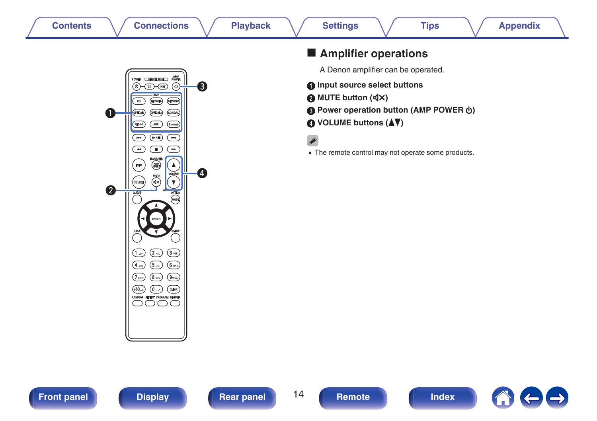<span id="page-13-0"></span>

| <b>Contents</b> |  |  |  |
|-----------------|--|--|--|
|                 |  |  |  |



# $\blacksquare$  Amplifier operations

A Denon amplifier can be operated.

- **A** Input source select buttons
- **B** MUTE button ( $\oint$ X)
- **Power operation button (AMP POWER**  $\phi$ **)**
- **D** VOLUME buttons ( $\blacktriangle$ **V**)

• The remote control may not operate some products.





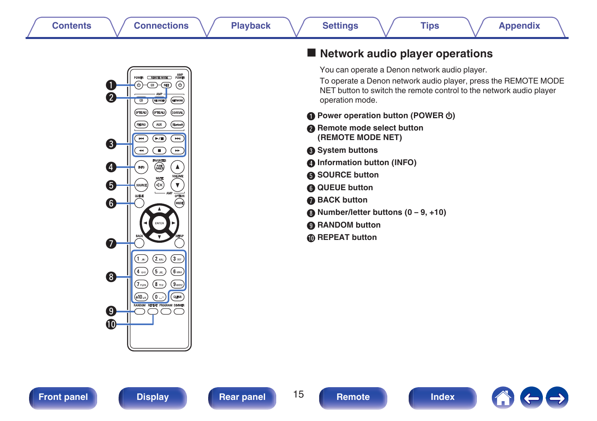<span id="page-14-0"></span>

### ■ Network audio player operations

You can operate a Denon network audio player.

To operate a Denon network audio player, press the REMOTE MODE NET button to switch the remote control to the network audio player operation mode.

- **A** Power operation button (POWER  $\phi$ )
- **Remote mode select button (REMOTE MODE NET)**
- **@** System buttons
- **D** Information button (INFO)
- **SOURCE button**
- **a** QUEUE button
- **BACK button**
- **Mumber/letter buttons (0 9, +10)**
- I **RANDOM button**
- **D** REPEAT button



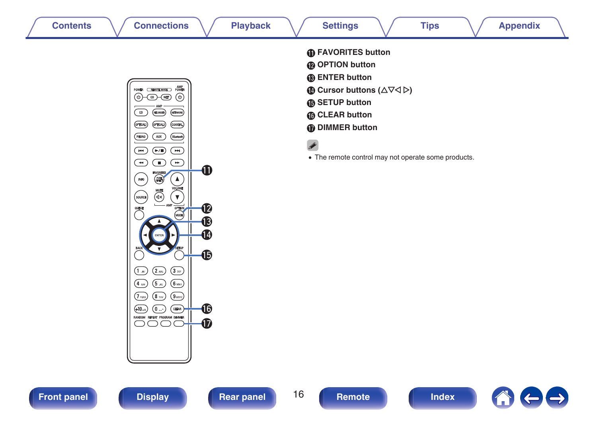

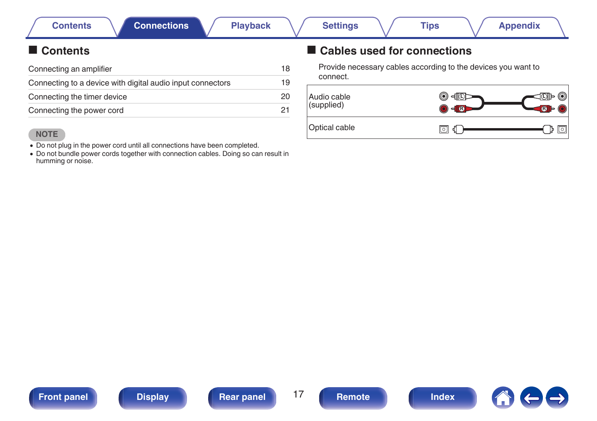# <span id="page-16-0"></span>**Contents**

| Connecting an amplifier                                    | 18 |
|------------------------------------------------------------|----|
| Connecting to a device with digital audio input connectors | 19 |
| Connecting the timer device                                | 20 |
| Connecting the power cord                                  | 21 |

#### **NOTE**

- Do not plug in the power cord until all connections have been completed.
- Do not bundle power cords together with connection cables. Doing so can result in humming or noise.

# ■ Cables used for connections

Provide necessary cables according to the devices you want to connect.









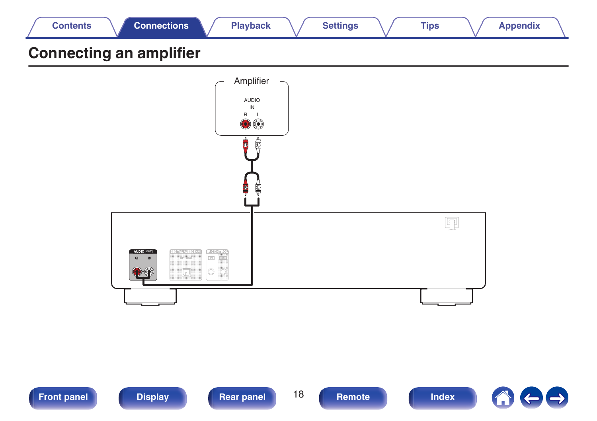<span id="page-17-0"></span>

| <b>Contents</b>                | <b>Connections</b> | <b>Playback</b> | <b>Settings</b> | <b>Tips</b> | <b>Appendix</b> |  |
|--------------------------------|--------------------|-----------------|-----------------|-------------|-----------------|--|
| <b>Connecting an amplifier</b> |                    |                 |                 |             |                 |  |





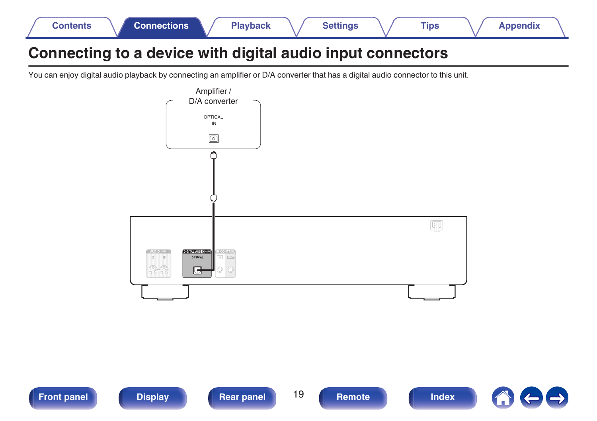<span id="page-18-0"></span>

| <b>Connections</b><br>Contents | <b>Playback</b> | Settings | <b>Tips</b> | <b>Appendix</b> |
|--------------------------------|-----------------|----------|-------------|-----------------|
|--------------------------------|-----------------|----------|-------------|-----------------|

# **Connecting to a device with digital audio input connectors**

You can enjoy digital audio playback by connecting an amplifier or D/A converter that has a digital audio connector to this unit.



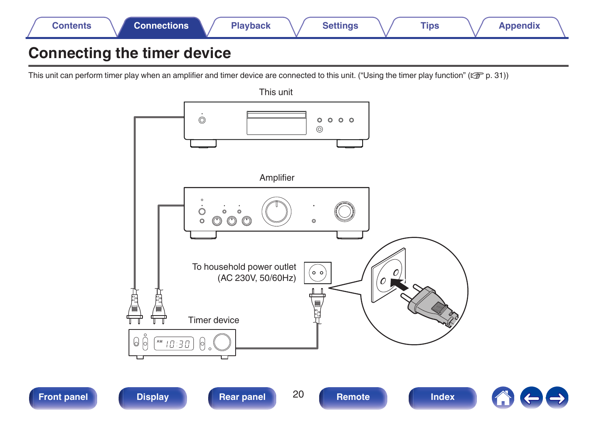<span id="page-19-0"></span>

# **Connecting the timer device**

This unit can perform timer play when an amplifier and timer device are connected to this unit. (["Using the timer play function" \(](#page-30-0) $\mathbb{Z}$ ) ( $\mathbb{Z}$ ) = 0.31))

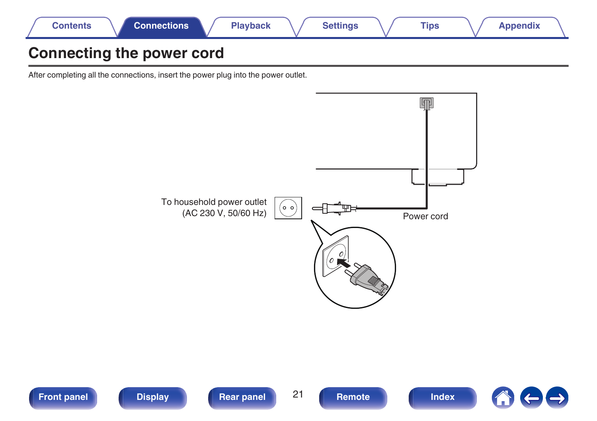<span id="page-20-0"></span>

# **Connecting the power cord**

After completing all the connections, insert the power plug into the power outlet.



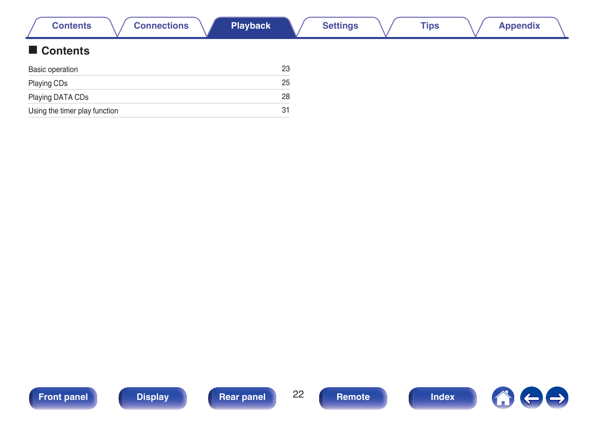<span id="page-21-0"></span>

| <b>Connections</b><br><b>Contents</b> | <b>Playback</b> |    | <b>Settings</b> | <b>Tips</b> | <b>Appendix</b> |  |
|---------------------------------------|-----------------|----|-----------------|-------------|-----------------|--|
| Contents                              |                 |    |                 |             |                 |  |
| <b>Basic operation</b>                |                 | 23 |                 |             |                 |  |
| Playing CDs                           |                 | 25 |                 |             |                 |  |
| Playing DATA CDs                      |                 | 28 |                 |             |                 |  |
| Using the timer play function         |                 | 31 |                 |             |                 |  |

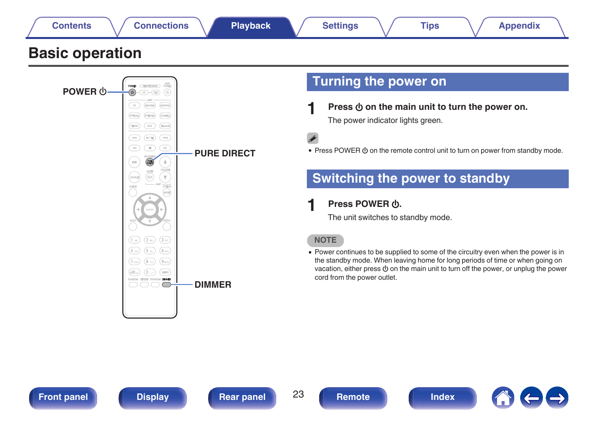<span id="page-22-0"></span>

# **Basic operation**



# **Turning the power on**

**Press**  $\phi$  **on the main unit to turn the power on.** The power indicator lights green.

• Press POWER  $\phi$  on the remote control unit to turn on power from standby mode.

# **Switching the power to standby**

### **1 Press POWER** X**.**

The unit switches to standby mode.

#### **NOTE**

• Power continues to be supplied to some of the circuitry even when the power is in the standby mode. When leaving home for long periods of time or when going on vacation, either press  $\Phi$  on the main unit to turn off the power, or unplug the power cord from the power outlet.



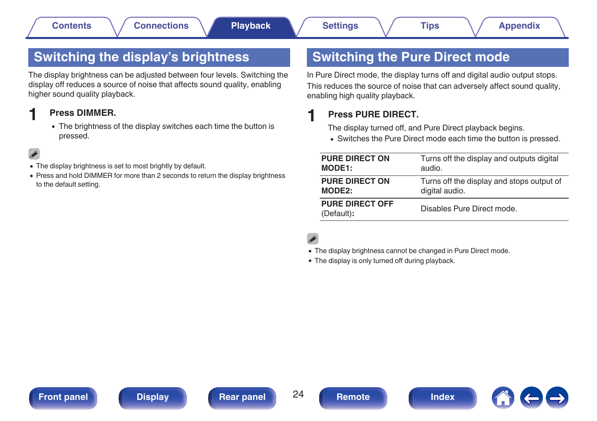# <span id="page-23-0"></span>**Switching the display's brightness**

The display brightness can be adjusted between four levels. Switching the display off reduces a source of noise that affects sound quality, enabling higher sound quality playback.

### **1 Press DIMMER.**

• The brightness of the display switches each time the button is pressed.

- The display brightness is set to most brightly by default.
- Press and hold DIMMER for more than 2 seconds to return the display brightness to the default setting.

# **Switching the Pure Direct mode**

In Pure Direct mode, the display turns off and digital audio output stops. This reduces the source of noise that can adversely affect sound quality, enabling high quality playback.

### **1 Press PURE DIRECT.**

The display turned off, and Pure Direct playback begins.

• Switches the Pure Direct mode each time the button is pressed.

| <b>PURE DIRECT ON</b>                | Turns off the display and outputs digital |
|--------------------------------------|-------------------------------------------|
| MODE1:                               | audio.                                    |
| <b>PURE DIRECT ON</b>                | Turns off the display and stops output of |
| MODE <sub>2</sub> :                  | digital audio.                            |
| <b>PURE DIRECT OFF</b><br>(Default): | Disables Pure Direct mode.                |

- The display brightness cannot be changed in Pure Direct mode.
- The display is only turned off during playback.



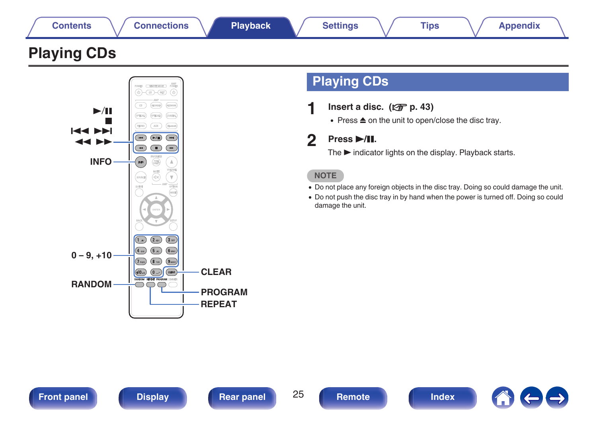<span id="page-24-0"></span>

# **Playing CDs**



# **Playing CDs**

**1nsert a disc.** ( $\sqrt{r}$  [p. 43\)](#page-42-0)

 $\bullet$  Press  $\triangle$  on the unit to open/close the disc tray.

### **2 Press** 1**/**3**.**

The  $\blacktriangleright$  indicator lights on the display. Playback starts.

### **NOTE**

- Do not place any foreign objects in the disc tray. Doing so could damage the unit.
- Do not push the disc tray in by hand when the power is turned off. Doing so could damage the unit.

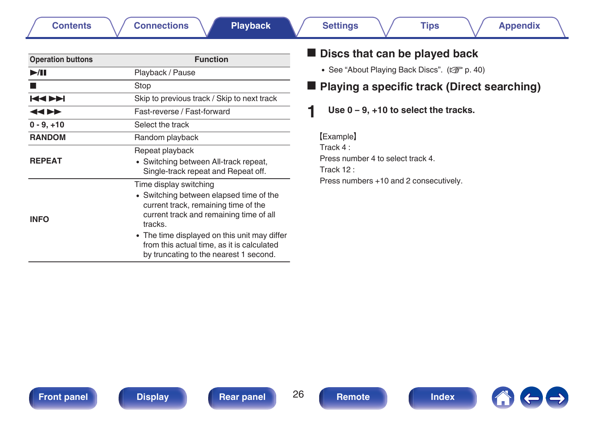| Remot |  |
|-------|--|

### Repeat playback • Switching between All-track repeat. Single-track repeat and Repeat off. Time display switching

- 0 Switching between elapsed time of the current track, remaining time of the current track and remaining time of all tracks.
- The time displayed on this unit may differ from this actual time, as it is calculated by truncating to the nearest 1 second.

# $\blacksquare$  Discs that can be played back

- See "About Playing Back Discs". ( $\sqrt{\epsilon}$  [p. 40\)](#page-39-0)
- Playing a specific track (Direct searching)

## **1 Use 0 – 9, +10 to select the tracks.**

**[Example]** Track 4 : Press number 4 to select track 4. Track 12 : Press numbers +10 and 2 consecutively.

**[Contents](#page-1-0)**  $\setminus$  [Connections](#page-16-0) **A** [Playback](#page-21-0) **A** [Settings](#page-31-0)  $\setminus$  [Tips](#page-32-0)  $\setminus$  [Appendix](#page-39-0)

**2** Stop Stop

**REPEAT**

**INFO**

**11** Playback / Pause

**0 - 9, +10** Select the track **RANDOM** Random playback

**Operation buttons Function** 

Fast-reverse / Fast-forward

**EXECUTE:** Skip to previous track / Skip to next track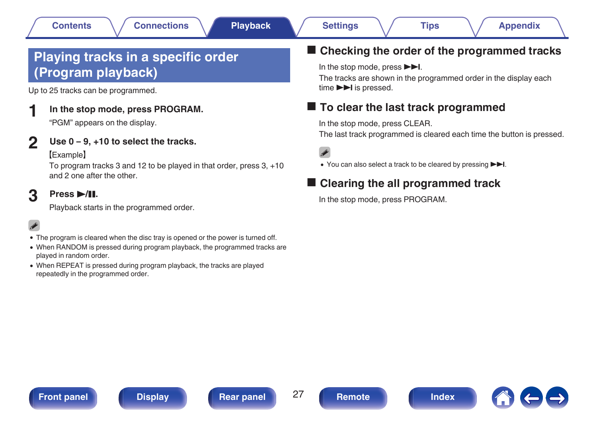# <span id="page-26-0"></span>**Playing tracks in a specific order (Program playback)**

Up to 25 tracks can be programmed.

### **1 In the stop mode, press PROGRAM.**

"PGM" appears on the display.

### **2 Use 0 – 9, +10 to select the tracks.**

#### **[Example]**

To program tracks 3 and 12 to be played in that order, press 3, +10 and 2 one after the other.

# **3 Press** 1**/**3**.**

Playback starts in the programmed order.

# $\overline{\rightarrow}$

- The program is cleared when the disc tray is opened or the power is turned off.
- When RANDOM is pressed during program playback, the programmed tracks are played in random order.
- When REPEAT is pressed during program playback, the tracks are played repeatedly in the programmed order.

## ■ Checking the order of the programmed tracks

In the stop mode, press  $\blacktriangleright\blacktriangleright$ I.

The tracks are shown in the programmed order in the display each time  $\blacktriangleright$  is pressed.

## o **To clear the last track programmed**

In the stop mode, press CLEAR.

The last track programmed is cleared each time the button is pressed.

 $\overline{\rightarrow}$ 

• You can also select a track to be cleared by pressing ▶□.

# o **Clearing the all programmed track**

In the stop mode, press PROGRAM.







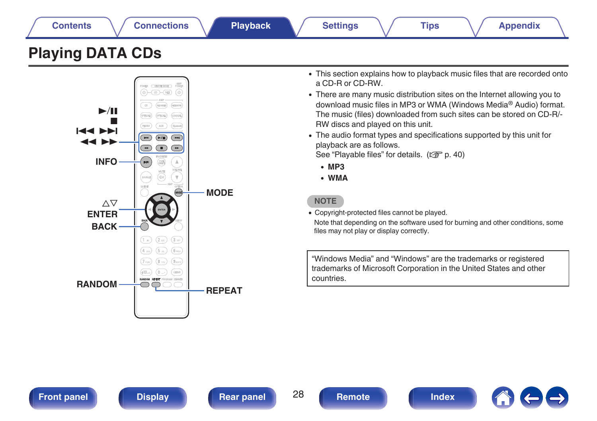<span id="page-27-0"></span>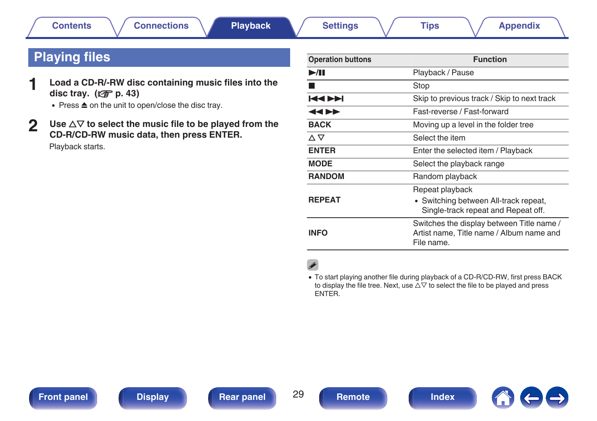# <span id="page-28-0"></span>**Playing files**

- **1 Load a CD-R/-RW disc containing music files into the disc tray.** ( $\sqrt{p}$  [p. 43\)](#page-42-0)
	- $\bullet$  Press  $\triangle$  on the unit to open/close the disc tray.
- **2** Use  $\Delta \nabla$  to select the music file to be played from the **CD-R/CD-RW music data, then press ENTER.** Playback starts.

| <b>Operation buttons</b> | <b>Function</b>                                                                                     |
|--------------------------|-----------------------------------------------------------------------------------------------------|
| >1                       | Playback / Pause                                                                                    |
|                          | Stop                                                                                                |
| <b>КАРМ</b>              | Skip to previous track / Skip to next track                                                         |
| ◀◀▶▶                     | Fast-reverse / Fast-forward                                                                         |
| <b>BACK</b>              | Moving up a level in the folder tree                                                                |
| △▽                       | Select the item                                                                                     |
| <b>ENTER</b>             | Enter the selected item / Playback                                                                  |
| <b>MODE</b>              | Select the playback range                                                                           |
| <b>RANDOM</b>            | Random playback                                                                                     |
| <b>REPEAT</b>            | Repeat playback<br>• Switching between All-track repeat,<br>Single-track repeat and Repeat off.     |
| INFO                     | Switches the display between Title name /<br>Artist name, Title name / Album name and<br>File name. |

# $\rightarrow$

• To start playing another file during playback of a CD-R/CD-RW, first press BACK to display the file tree. Next, use  $\Delta \nabla$  to select the file to be played and press ENTER.



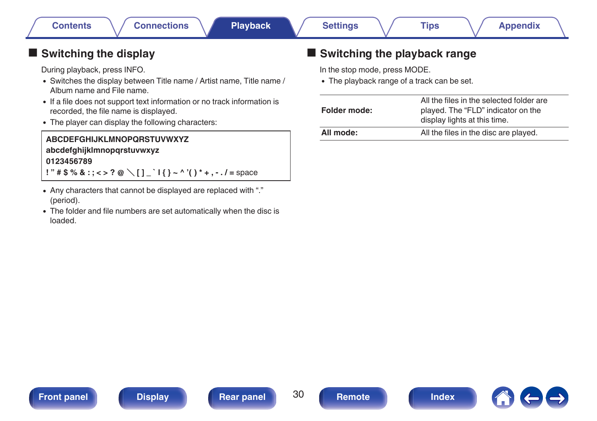# <span id="page-29-0"></span> $\blacksquare$  Switching the display

During playback, press INFO.

- Switches the display between Title name / Artist name, Title name / Album name and File name.
- If a file does not support text information or no track information is recorded, the file name is displayed.
- The player can display the following characters:

### **ABCDEFGHIJKLMNOPQRSTUVWXYZ abcdefghijklmnopqrstuvwxyz 0123456789**  $!$  "  $\#$  \$ % & : ; < > ? @ \ [ ] ` | { } ~ ^ '( ) \* + . - . / = space

- Any characters that cannot be displayed are replaced with "." (period).
- The folder and file numbers are set automatically when the disc is loaded.

# Switching the playback range

In the stop mode, press MODE.

• The playback range of a track can be set.

| Folder mode: | All the files in the selected folder are<br>played. The "FLD" indicator on the<br>display lights at this time. |
|--------------|----------------------------------------------------------------------------------------------------------------|
| All mode:    | All the files in the disc are played.                                                                          |





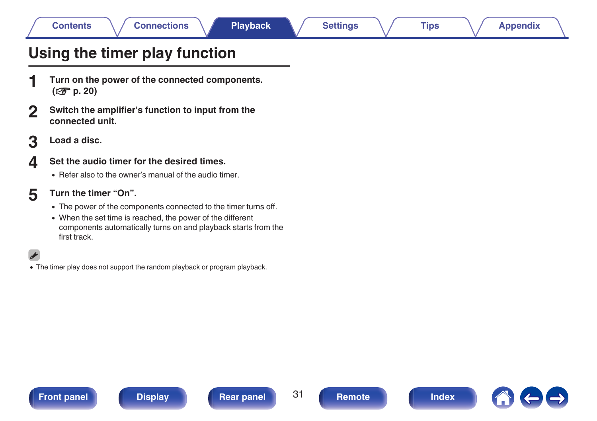# <span id="page-30-0"></span>**Using the timer play function**

- **1 Turn on the power of the connected components. (**v **[p. 20\)](#page-19-0)**
- **2 Switch the amplifier's function to input from the connected unit.**
- **3 Load a disc.**

### **4 Set the audio timer for the desired times.**

- Refer also to the owner's manual of the audio timer.
- **5 Turn the timer "On".**
	- The power of the components connected to the timer turns off.
	- 0 When the set time is reached, the power of the different components automatically turns on and playback starts from the first track.

Í

• The timer play does not support the random playback or program playback.



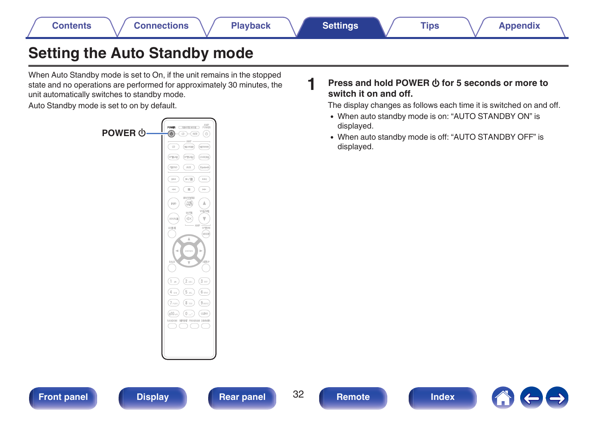# <span id="page-31-0"></span>**Setting the Auto Standby mode**

When Auto Standby mode is set to On, if the unit remains in the stopped state and no operations are performed for approximately 30 minutes, the unit automatically switches to standby mode.

Auto Standby mode is set to on by default.



### **1 Press and hold POWER**  $\Phi$  **for 5 seconds or more to switch it on and off.**

The display changes as follows each time it is switched on and off.

- 0 When auto standby mode is on: "AUTO STANDBY ON" is displayed.
- 0 When auto standby mode is off: "AUTO STANDBY OFF" is displayed.

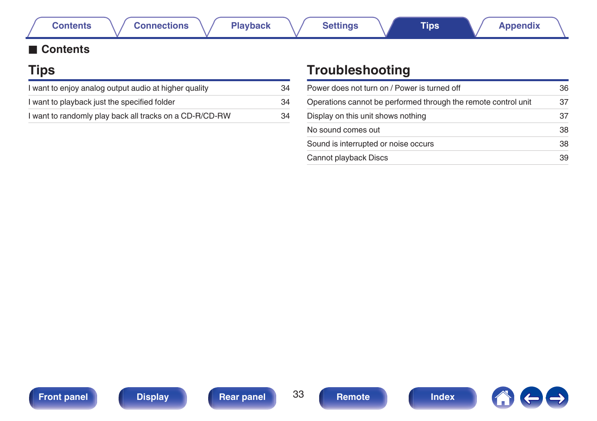### <span id="page-32-0"></span>**■ Contents**

# **Tips**

| I want to enjoy analog output audio at higher quality   | 34 |
|---------------------------------------------------------|----|
| I want to playback just the specified folder            | 34 |
| I want to randomly play back all tracks on a CD-R/CD-RW | 34 |

# **Troubleshooting**

| Power does not turn on / Power is turned off                   | 36 |
|----------------------------------------------------------------|----|
| Operations cannot be performed through the remote control unit | 37 |
| Display on this unit shows nothing                             | 37 |
| No sound comes out                                             | 38 |
| Sound is interrupted or noise occurs                           | 38 |
| Cannot playback Discs                                          | 39 |







 $\leftarrow \rightarrow$  $\bigcap$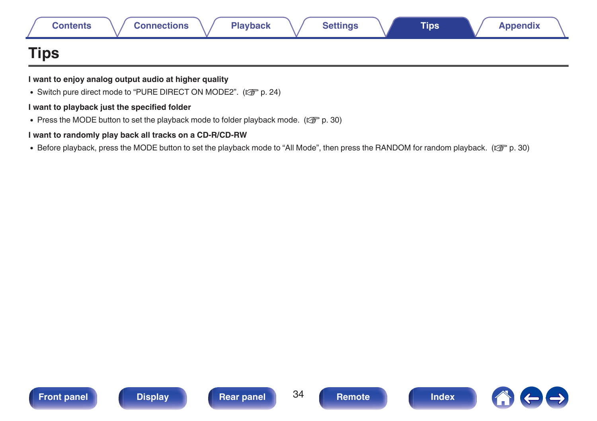<span id="page-33-0"></span>

| <b>Contents</b> | <b>Connections</b> | <b>Playback</b> | <b>Settings</b> | <b>Tips</b> | <b>Appendix</b> |
|-----------------|--------------------|-----------------|-----------------|-------------|-----------------|
| <b>Tips</b>     |                    |                 |                 |             |                 |

#### **I want to enjoy analog output audio at higher quality**

• Switch pure direct mode to "PURE DIRECT ON MODE2". ( $\mathbb{Z}$  [p. 24\)](#page-23-0)

#### **I want to playback just the specified folder**

Press the MODE button to set the playback mode to folder playback mode. ( $\mathbb{Q}_p^*$  [p. 30\)](#page-29-0)

#### **I want to randomly play back all tracks on a CD-R/CD-RW**

• Before playback, press the MODE button to set the playback mode to "All Mode", then press the RANDOM for random playback. ( $\sqrt{p}$  [p. 30\)](#page-29-0)





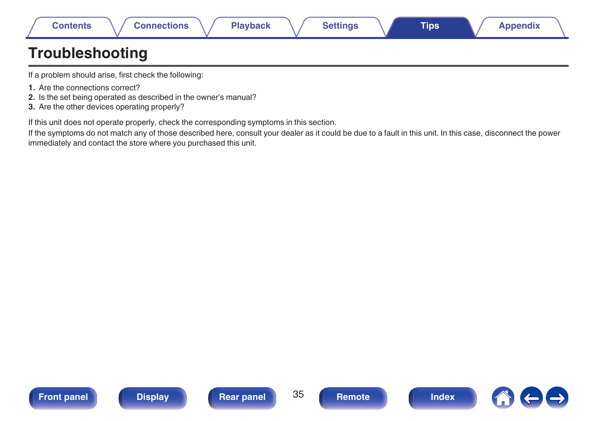<span id="page-34-0"></span>

|  | Contents | necuons | 71.<br>Playback | ੇ੧ttinɑs ਂ | <b>Tips</b> | ppendix |
|--|----------|---------|-----------------|------------|-------------|---------|
|--|----------|---------|-----------------|------------|-------------|---------|

# **Troubleshooting**

If a problem should arise, first check the following:

- **1.** Are the connections correct?
- **2.** Is the set being operated as described in the owner's manual?
- **3.** Are the other devices operating properly?

If this unit does not operate properly, check the corresponding symptoms in this section.

If the symptoms do not match any of those described here, consult your dealer as it could be due to a fault in this unit. In this case, disconnect the power immediately and contact the store where you purchased this unit.





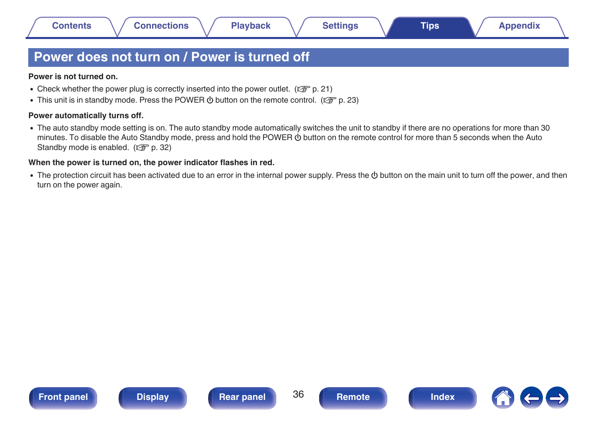# <span id="page-35-0"></span>**Power does not turn on / Power is turned off**

#### **Power is not turned on.**

- Check whether the power plug is correctly inserted into the power outlet. ( $\mathbb{Q}_p^*$  [p. 21\)](#page-20-0)
- This unit is in standby mode. Press the POWER  $\phi$  button on the remote control. ( $\mathbb{Q}_F$  [p. 23\)](#page-22-0)

#### **Power automatically turns off.**

• The auto standby mode setting is on. The auto standby mode automatically switches the unit to standby if there are no operations for more than 30 minutes. To disable the Auto Standby mode, press and hold the POWER  $\Phi$  button on the remote control for more than 5 seconds when the Auto Standby mode is enabled. ( $\mathbb{C}$  [p. 32\)](#page-31-0)

#### **When the power is turned on, the power indicator flashes in red.**

• The protection circuit has been activated due to an error in the internal power supply. Press the  $\Phi$  button on the main unit to turn off the power, and then turn on the power again.





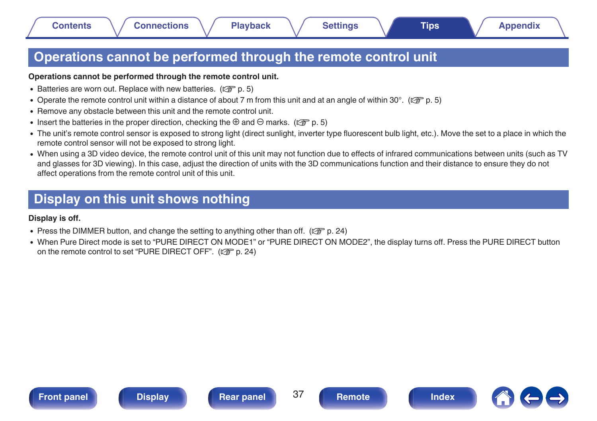# <span id="page-36-0"></span>**Operations cannot be performed through the remote control unit**

#### **Operations cannot be performed through the remote control unit.**

- Batteries are worn out. Replace with new batteries. ( $\mathbb{P}$  [p. 5\)](#page-4-0)
- Operate the remote control unit within a distance of about 7 m from this unit and at an angle of within 30°. ( $\mathbb{Q}_F$  [p. 5\)](#page-4-0)
- Remove any obstacle between this unit and the remote control unit.
- Insert the batteries in the proper direction, checking the  $\oplus$  and  $\ominus$  marks. ( $\mathbb{Z}$  [p. 5\)](#page-4-0)
- The unit's remote control sensor is exposed to strong light (direct sunlight, inverter type fluorescent bulb light, etc.). Move the set to a place in which the remote control sensor will not be exposed to strong light.
- 0 When using a 3D video device, the remote control unit of this unit may not function due to effects of infrared communications between units (such as TV and glasses for 3D viewing). In this case, adjust the direction of units with the 3D communications function and their distance to ensure they do not affect operations from the remote control unit of this unit.

# **Display on this unit shows nothing**

**Display is off.**

- Press the DIMMER button, and change the setting to anything other than off. ( $\mathbb{Q}_p^*$  [p. 24\)](#page-23-0)
- When Pure Direct mode is set to "PURE DIRECT ON MODE1" or "PURE DIRECT ON MODE2", the display turns off. Press the PURE DIRECT button on the remote control to set "PURE DIRECT OFF". ( $\sqrt{2}$  [p. 24\)](#page-23-0)





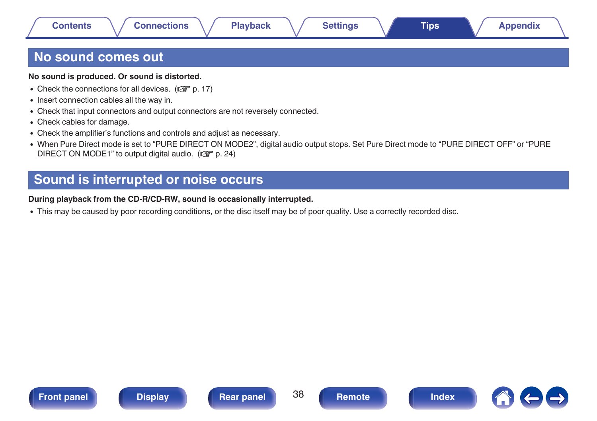# <span id="page-37-0"></span>**No sound comes out**

#### **No sound is produced. Or sound is distorted.**

- Check the connections for all devices.  $(\sqrt[p]{p}^p p. 17)$  $(\sqrt[p]{p}^p p. 17)$
- Insert connection cables all the way in.
- Check that input connectors and output connectors are not reversely connected.
- Check cables for damage.
- Check the amplifier's functions and controls and adjust as necessary.
- When Pure Direct mode is set to "PURE DIRECT ON MODE2", digital audio output stops. Set Pure Direct mode to "PURE DIRECT OFF" or "PURE DIRECT ON MODE1" to output digital audio. ( $\mathbb{C}$  [p. 24\)](#page-23-0)

# **Sound is interrupted or noise occurs**

#### **During playback from the CD-R/CD-RW, sound is occasionally interrupted.**

• This may be caused by poor recording conditions, or the disc itself may be of poor quality. Use a correctly recorded disc.







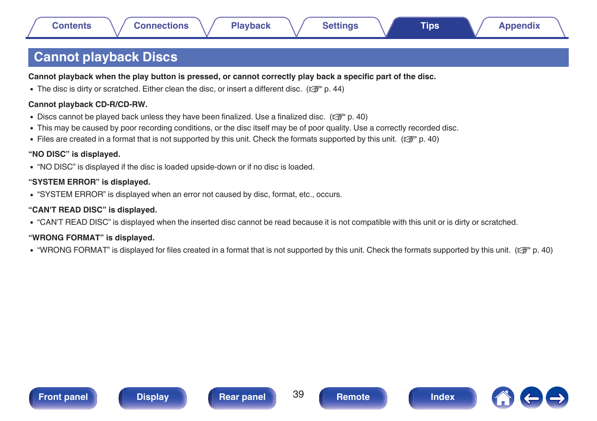# <span id="page-38-0"></span>**Cannot playback Discs**

**Cannot playback when the play button is pressed, or cannot correctly play back a specific part of the disc.**

The disc is dirty or scratched. Either clean the disc, or insert a different disc. ( $\mathbb{Q}_F$  [p. 44\)](#page-43-0)

#### **Cannot playback CD-R/CD-RW.**

- Discs cannot be played back unless they have been finalized. Use a finalized disc. ( $\mathbb{Q}$  [p. 40\)](#page-39-0)
- This may be caused by poor recording conditions, or the disc itself may be of poor quality. Use a correctly recorded disc.
- Files are created in a format that is not supported by this unit. Check the formats supported by this unit. ( $\mathbb{Z}$ P [p. 40\)](#page-39-0)

#### **"NO DISC" is displayed.**

0 "NO DISC" is displayed if the disc is loaded upside-down or if no disc is loaded.

#### **"SYSTEM ERROR" is displayed.**

• "SYSTEM ERROR" is displayed when an error not caused by disc, format, etc., occurs.

#### **"CAN'T READ DISC" is displayed.**

• "CAN'T READ DISC" is displayed when the inserted disc cannot be read because it is not compatible with this unit or is dirty or scratched.

#### **"WRONG FORMAT" is displayed.**

• "WRONG FORMAT" is displayed for files created in a format that is not supported by this unit. Check the formats supported by this unit. ( $\mathbb{Z}$ ) and  $\mathbb{Z}$ )







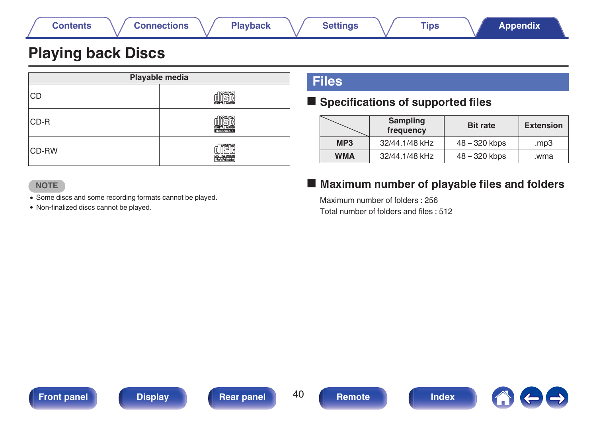<span id="page-39-0"></span>

# **Playing back Discs**

| Playable media |                                                |  |
|----------------|------------------------------------------------|--|
| <b>CD</b>      | <b>COMPACT</b><br>DIGITAL AUDIO                |  |
| CD-R           | <b>MCOMPACT</b><br>DIGITAL AUDIO<br>Recordable |  |
| <b>CD-RW</b>   | <b>COMPACT</b><br>DIGITAL AUDIO<br>ReWritable  |  |

# **Files**

### ■ Specifications of supported files

|                 | <b>Sampling</b><br>frequency | <b>Bit rate</b> | <b>Extension</b> |
|-----------------|------------------------------|-----------------|------------------|
| MP <sub>3</sub> | 32/44.1/48 kHz               | 48 – 320 kbps   | mp3              |
| <b>WMA</b>      | 32/44.1/48 kHz               | 48 - 320 kbps   | wma.             |

#### **NOTE**

0 Some discs and some recording formats cannot be played.

0 Non-finalized discs cannot be played.

# ■ Maximum number of playable files and folders

Maximum number of folders : 256 Total number of folders and files : 512







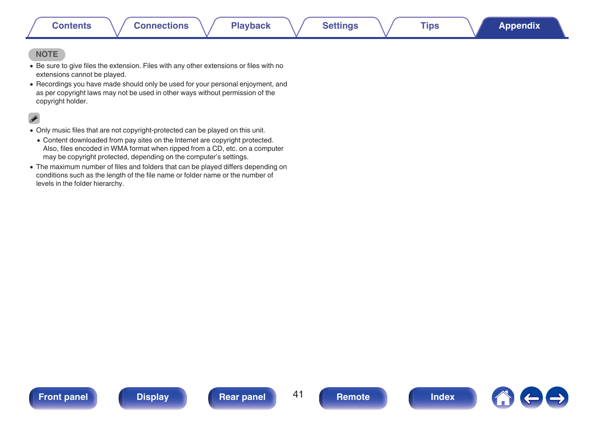#### **NOTE**

- Be sure to give files the extension. Files with any other extensions or files with no extensions cannot be played.
- Recordings you have made should only be used for your personal enjoyment, and as per copyright laws may not be used in other ways without permission of the copyright holder.

- 0 Only music files that are not copyright-protected can be played on this unit.
- 0 Content downloaded from pay sites on the Internet are copyright protected. Also, files encoded in WMA format when ripped from a CD, etc. on a computer may be copyright protected, depending on the computer's settings.
- The maximum number of files and folders that can be played differs depending on conditions such as the length of the file name or folder name or the number of levels in the folder hierarchy.



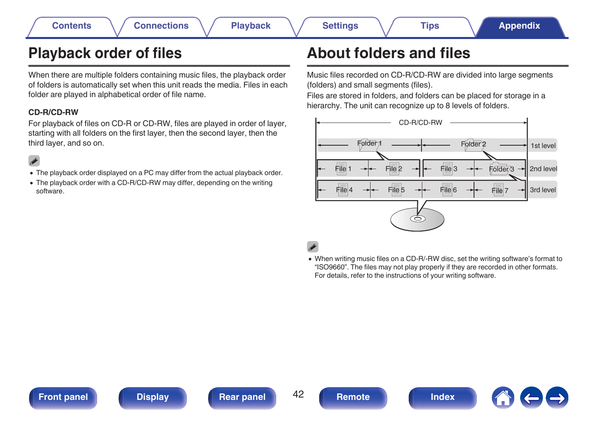# <span id="page-41-0"></span>**Playback order of files**

When there are multiple folders containing music files, the playback order of folders is automatically set when this unit reads the media. Files in each folder are played in alphabetical order of file name.

#### **CD-R/CD-RW**

For playback of files on CD-R or CD-RW, files are played in order of layer, starting with all folders on the first layer, then the second layer, then the third layer, and so on.

## $\overline{\rightarrow}$

- The playback order displayed on a PC may differ from the actual playback order.
- The playback order with a CD-R/CD-RW may differ, depending on the writing software.

# **About folders and files**

Music files recorded on CD-R/CD-RW are divided into large segments (folders) and small segments (files).

Files are stored in folders, and folders can be placed for storage in a hierarchy. The unit can recognize up to 8 levels of folders.



• When writing music files on a CD-R/-RW disc, set the writing software's format to "ISO9660". The files may not play properly if they are recorded in other formats. For details, refer to the instructions of your writing software.



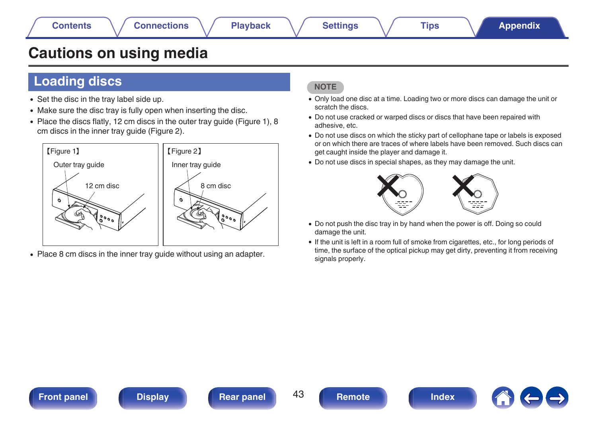# <span id="page-42-0"></span>**Cautions on using media**

# **Loading discs**

- Set the disc in the tray label side up.
- Make sure the disc tray is fully open when inserting the disc.
- Place the discs flatly, 12 cm discs in the outer tray guide (Figure 1), 8 cm discs in the inner tray guide (Figure 2).



• Place 8 cm discs in the inner tray quide without using an adapter.

### **NOTE**

- 0 Only load one disc at a time. Loading two or more discs can damage the unit or scratch the discs.
- 0 Do not use cracked or warped discs or discs that have been repaired with adhesive, etc.
- 0 Do not use discs on which the sticky part of cellophane tape or labels is exposed or on which there are traces of where labels have been removed. Such discs can get caught inside the player and damage it.
- Do not use discs in special shapes, as they may damage the unit.



- Do not push the disc tray in by hand when the power is off. Doing so could damage the unit.
- 0 If the unit is left in a room full of smoke from cigarettes, etc., for long periods of time, the surface of the optical pickup may get dirty, preventing it from receiving signals properly.

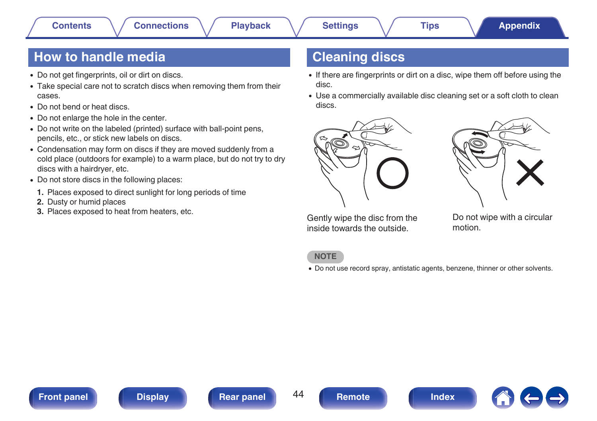# <span id="page-43-0"></span>**How to handle media**

- Do not get fingerprints, oil or dirt on discs.
- Take special care not to scratch discs when removing them from their cases.
- Do not bend or heat discs.
- Do not enlarge the hole in the center.
- Do not write on the labeled (printed) surface with ball-point pens, pencils, etc., or stick new labels on discs.
- Condensation may form on discs if they are moved suddenly from a cold place (outdoors for example) to a warm place, but do not try to dry discs with a hairdryer, etc.
- Do not store discs in the following places:
- **1.** Places exposed to direct sunlight for long periods of time
- **2.** Dusty or humid places
- **3.** Places exposed to heat from heaters, etc.

# **Cleaning discs**

- If there are fingerprints or dirt on a disc, wipe them off before using the disc.
- Use a commercially available disc cleaning set or a soft cloth to clean discs.





Gently wipe the disc from the inside towards the outside.

Do not wipe with a circular motion.

#### **NOTE**

• Do not use record spray, antistatic agents, benzene, thinner or other solvents.





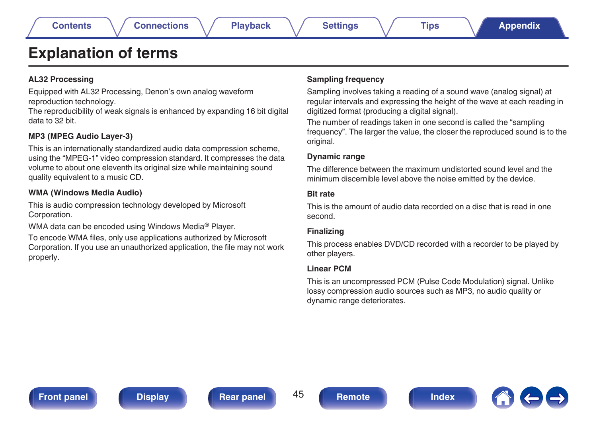# <span id="page-44-0"></span>**Explanation of terms**

#### **AL32 Processing**

Equipped with AL32 Processing, Denon's own analog waveform reproduction technology.

The reproducibility of weak signals is enhanced by expanding 16 bit digital data to 32 bit.

#### **MP3 (MPEG Audio Layer-3)**

This is an internationally standardized audio data compression scheme, using the "MPEG-1" video compression standard. It compresses the data volume to about one eleventh its original size while maintaining sound quality equivalent to a music CD.

#### **WMA (Windows Media Audio)**

This is audio compression technology developed by Microsoft Corporation.

WMA data can be encoded using Windows Media® Player.

To encode WMA files, only use applications authorized by Microsoft Corporation. If you use an unauthorized application, the file may not work properly.

#### **Sampling frequency**

Sampling involves taking a reading of a sound wave (analog signal) at regular intervals and expressing the height of the wave at each reading in digitized format (producing a digital signal).

The number of readings taken in one second is called the "sampling frequency". The larger the value, the closer the reproduced sound is to the original.

#### **Dynamic range**

The difference between the maximum undistorted sound level and the minimum discernible level above the noise emitted by the device.

#### **Bit rate**

This is the amount of audio data recorded on a disc that is read in one second.

#### **Finalizing**

This process enables DVD/CD recorded with a recorder to be played by other players.

#### **Linear PCM**

This is an uncompressed PCM (Pulse Code Modulation) signal. Unlike lossy compression audio sources such as MP3, no audio quality or dynamic range deteriorates.

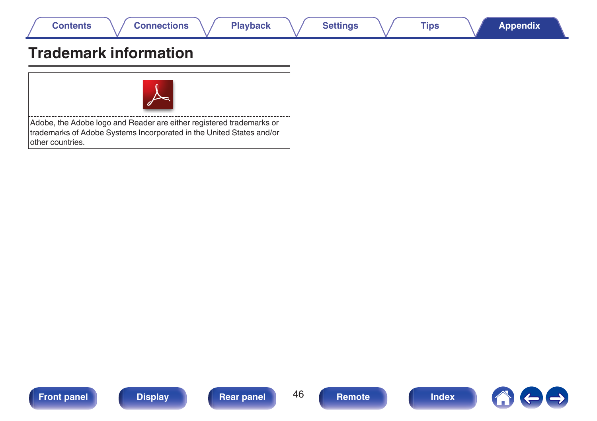<span id="page-45-0"></span>

# **Trademark information**



Adobe, the Adobe logo and Reader are either registered trademarks or trademarks of Adobe Systems Incorporated in the United States and/or other countries.







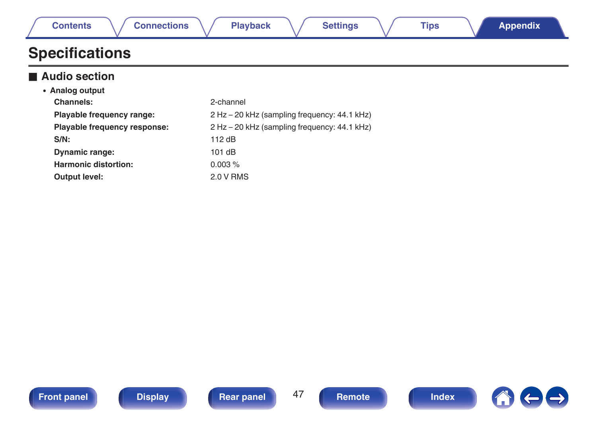<span id="page-46-0"></span>

| Contents              | <b>Connections</b> | <b>Playback</b> | <b>Settings</b> | <b>Tips</b> | <b>Appendix</b> |  |
|-----------------------|--------------------|-----------------|-----------------|-------------|-----------------|--|
| <b>Specifications</b> |                    |                 |                 |             |                 |  |

## **■ Audio section**

| • Analog output              |                                              |
|------------------------------|----------------------------------------------|
| Channels:                    | 2-channel                                    |
| Playable frequency range:    | 2 Hz – 20 kHz (sampling frequency: 44.1 kHz) |
| Playable frequency response: | 2 Hz – 20 kHz (sampling frequency: 44.1 kHz) |
| $S/N$ :                      | 112 $dB$                                     |
| <b>Dynamic range:</b>        | 101dB                                        |
| <b>Harmonic distortion:</b>  | $0.003\%$                                    |
| Output level:                | 2.0 V RMS                                    |





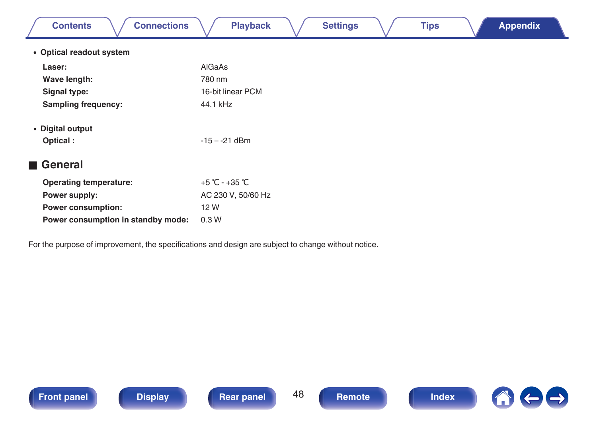| <b>Connections</b><br><b>Contents</b>                                                               | <b>Playback</b><br><b>Settings</b><br><b>Appendix</b><br><b>Tips</b> |  |  |  |
|-----------------------------------------------------------------------------------------------------|----------------------------------------------------------------------|--|--|--|
| • Optical readout system                                                                            |                                                                      |  |  |  |
| Laser:                                                                                              | AlGaAs                                                               |  |  |  |
| Wave length:                                                                                        | 780 nm                                                               |  |  |  |
| Signal type:                                                                                        | 16-bit linear PCM                                                    |  |  |  |
| <b>Sampling frequency:</b>                                                                          | 44.1 kHz                                                             |  |  |  |
| • Digital output                                                                                    |                                                                      |  |  |  |
| Optical:                                                                                            | $-15 - -21$ dBm                                                      |  |  |  |
| <b>■ General</b>                                                                                    |                                                                      |  |  |  |
| <b>Operating temperature:</b>                                                                       | +5 °C - +35 °C                                                       |  |  |  |
| Power supply:                                                                                       | AC 230 V, 50/60 Hz                                                   |  |  |  |
| <b>Power consumption:</b>                                                                           | 12 W                                                                 |  |  |  |
| Power consumption in standby mode:                                                                  | 0.3W                                                                 |  |  |  |
| For the purpose of improvement, the specifications and design are subject to change without notice. |                                                                      |  |  |  |





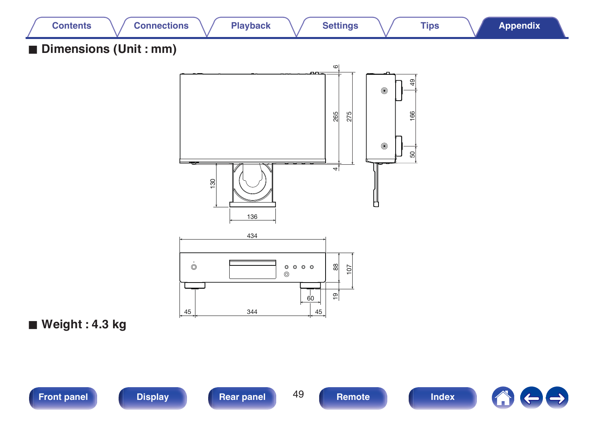

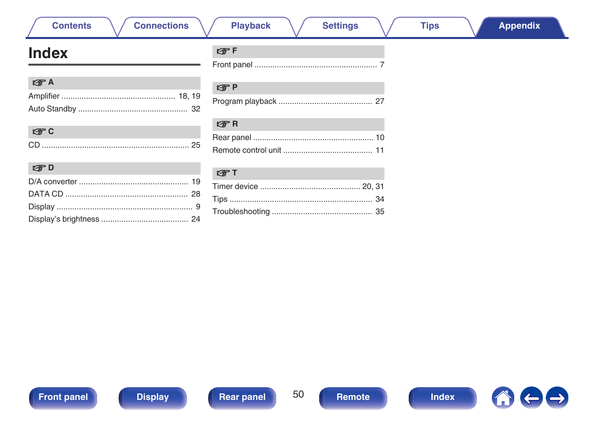# A

| ٠ |
|---|

| CD |  |
|----|--|

| $E \oplus D$<br><b>Contract Contract</b> |  |
|------------------------------------------|--|
|                                          |  |
|                                          |  |
|                                          |  |
|                                          |  |

# **Connections**

 $CP F$ 

**Playback** 

**Settings** 

# <span id="page-49-0"></span>**Index**

**Contents** 

| the A | CPP |
|-------|-----|
|       |     |
|       |     |

| $F \rightarrow R$ |  |
|-------------------|--|
|                   |  |
|                   |  |

| $F \rightarrow T$ |  |
|-------------------|--|
|                   |  |
|                   |  |
|                   |  |